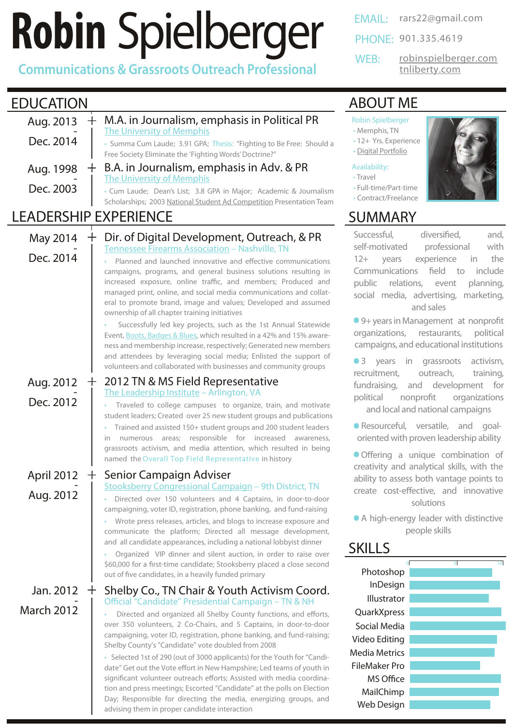# **Robin** [Spielberger](https://www.linkedin.com/in/robinspielberger)

**Communications & Grassroots Outreach Professional**

## EDUCATION

| Aug. 2013     |  | + M.A. in Journalism, emphasis in Political PR<br>The University of Memphis                                                               |  |
|---------------|--|-------------------------------------------------------------------------------------------------------------------------------------------|--|
| Dec. 2014     |  | • Summa Cum Laude; 3.91 GPA; Thesis: "Fighting to Be Free: Should a<br>Free Society Eliminate the 'Fighting Words' Doctrine?"             |  |
| Aug. 1998     |  | + B.A. in Journalism, emphasis in Adv. & PR<br><b>The University of Memphis</b>                                                           |  |
| Dec. 2003     |  | • Cum Laude; Dean's List; 3.8 GPA in Major; Academic & Journalism<br>Scholarships; 2003 National Student Ad Competition Presentation Team |  |
| D EVDEDIENICE |  |                                                                                                                                           |  |

#### LEADERSHIP EXPERIENCE

| May 2014<br>Dec. 2014          | Dir. of Digital Development, Outreach, & PR<br><b>Tennessee Firearms Association - Nashville, TN</b><br>Planned and launched innovative and effective communications<br>campaigns, programs, and general business solutions resulting in<br>increased exposure, online traffic, and members; Produced and<br>managed print, online, and social media communications and collat-<br>eral to promote brand, image and values; Developed and assumed<br>ownership of all chapter training initiatives<br>Successfully led key projects, such as the 1st Annual Statewide<br>Event, Boots, Badges & Blues, which resulted in a 42% and 15% aware-<br>ness and membership increase, respectively; Generated new members<br>and attendees by leveraging social media; Enlisted the support of<br>volunteers and collaborated with businesses and community groups |
|--------------------------------|-------------------------------------------------------------------------------------------------------------------------------------------------------------------------------------------------------------------------------------------------------------------------------------------------------------------------------------------------------------------------------------------------------------------------------------------------------------------------------------------------------------------------------------------------------------------------------------------------------------------------------------------------------------------------------------------------------------------------------------------------------------------------------------------------------------------------------------------------------------|
| Aug. 2012<br>Dec. 2012         | 2012 TN & MS Field Representative<br>The Leadership Institute - Arlington, VA<br>Traveled to college campuses to organize, train, and motivate<br>student leaders; Created over 25 new student groups and publications<br>Trained and assisted 150+ student groups and 200 student leaders<br>areas; responsible for increased<br>awareness,<br>in<br>numerous<br>grassroots activism, and media attention, which resulted in being<br>named the Overall Top Field Representative in history                                                                                                                                                                                                                                                                                                                                                                |
| April 2012<br>Aug. 2012        | Senior Campaign Adviser<br>Stooksberry Congressional Campaign - 9th District, TN<br>Directed over 150 volunteers and 4 Captains, in door-to-door<br>campaigning, voter ID, registration, phone banking, and fund-raising<br>Wrote press releases, articles, and blogs to increase exposure and<br>communicate the platform; Directed all message development,<br>and all candidate appearances, including a national lobbyist dinner<br>Organized VIP dinner and silent auction, in order to raise over<br>\$60,000 for a first-time candidate; Stooksberry placed a close second<br>out of five candidates, in a heavily funded primary                                                                                                                                                                                                                    |
| Jan. 2012<br><b>March 2012</b> | Shelby Co., TN Chair & Youth Activism Coord.<br>$+$<br>Official "Candidate" Presidential Campaign - TN & NH<br>Directed and organized all Shelby County functions, and efforts,<br>over 350 volunteers, 2 Co-Chairs, and 5 Captains, in door-to-door<br>campaigning, voter ID, registration, phone banking, and fund-raising;<br>Shelby County's "Candidate" vote doubled from 2008<br>• Selected 1st of 290 (out of 3000 applicants) for the Youth for "Candi-<br>date" Get out the Vote effort in New Hampshire; Led teams of youth in<br>significant volunteer outreach efforts; Assisted with media coordina-<br>tion and press meetings; Escorted "Candidate" at the polls on Election<br>Day; Responsible for directing the media, energizing groups, and<br>advising them in proper candidate interaction                                            |

EMAIL: [rars22@gmail.com](mailto:rars22@gmail.com)

PHONE: 901.335.4619

WEB:

[tnliberty.com](http://www.tnliberty.com/) [robinspielberger.com](http://robinspielberger.com/)

#### [ABOUT ME](http://robinspielberger.com/about/)

#### Robin Spielberger

- Memphis, TN
- 12+ Yrs. Experience • [Digital Portfolio](http://robinspielberger.com/about/digital-portfolio/)

#### Availability:

- Travel
- Full-time/Part-time
- Contract/Freelance

## SUMMARY

Successful, diversified, and, self-motivated professional with 12+ years experience in the Communications field to include public relations, event planning, social media, advertising, marketing, and sales

● 9+ years in Management at nonprofit organizations, restaurants, political campaigns, and educational institutions

**3** years in grassroots activism, recruitment, outreach, training, fundraising, and development for political nonprofit organizations and local and national campaigns

Resourceful, versatile, and goaloriented with proven leadership ability

Offering a unique combination of creativity and analytical skills, with the ability to assess both vantage points to create cost-effective, and innovative solutions

 A high-energy leader with distinctive people skills

#### **[SKILLS](http://robinspielberger.com/about/digital-portfolio/)**